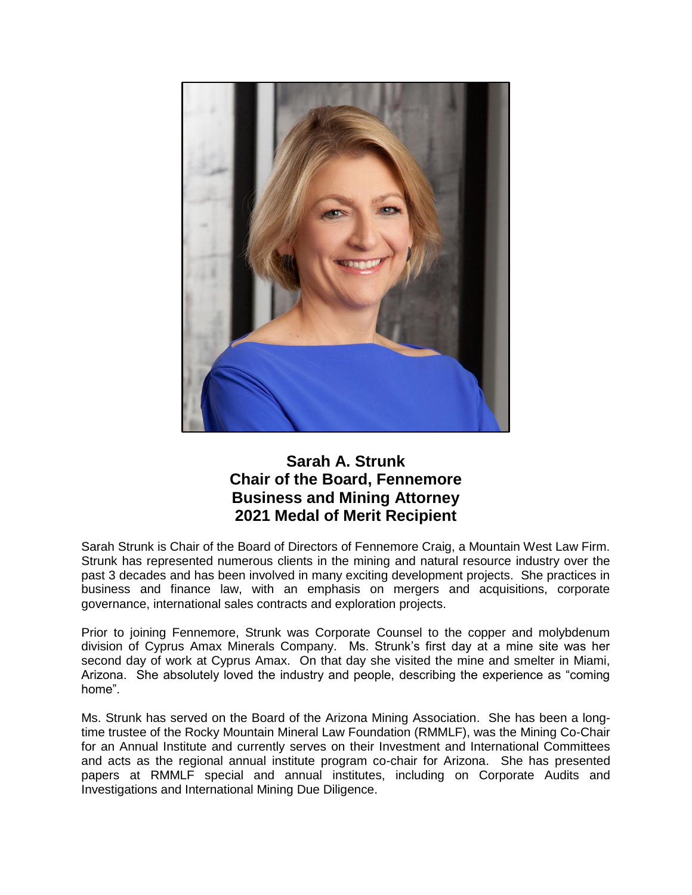

## **Sarah A. Strunk Chair of the Board, Fennemore Business and Mining Attorney 2021 Medal of Merit Recipient**

Sarah Strunk is Chair of the Board of Directors of Fennemore Craig, a Mountain West Law Firm. Strunk has represented numerous clients in the mining and natural resource industry over the past 3 decades and has been involved in many exciting development projects. She practices in business and finance law, with an emphasis on mergers and acquisitions, corporate governance, international sales contracts and exploration projects.

Prior to joining Fennemore, Strunk was Corporate Counsel to the copper and molybdenum division of Cyprus Amax Minerals Company. Ms. Strunk's first day at a mine site was her second day of work at Cyprus Amax. On that day she visited the mine and smelter in Miami, Arizona. She absolutely loved the industry and people, describing the experience as "coming home".

Ms. Strunk has served on the Board of the Arizona Mining Association. She has been a longtime trustee of the Rocky Mountain Mineral Law Foundation (RMMLF), was the Mining Co-Chair for an Annual Institute and currently serves on their Investment and International Committees and acts as the regional annual institute program co-chair for Arizona. She has presented papers at RMMLF special and annual institutes, including on Corporate Audits and Investigations and International Mining Due Diligence.